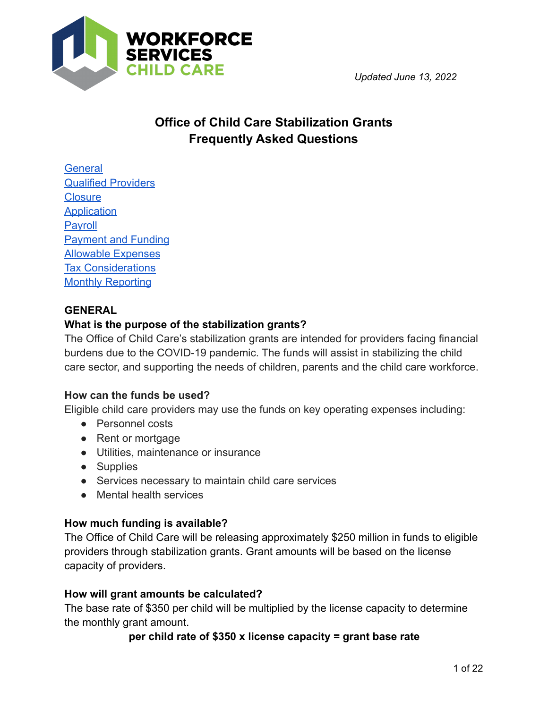

*Updated June 13, 2022*

# **Office of Child Care Stabilization Grants Frequently Asked Questions**

**[General](#page-0-0)** [Qualified Providers](#page-2-0) **[Closure](#page-2-0) [Application](#page-5-0) [Payroll](#page-8-0)** [Payment and Funding](#page-9-0) [Allowable Expenses](#page-11-0) [Tax Considerations](#page-17-0) **[Monthly Reporting](#page-18-0)** 

# <span id="page-0-0"></span>**GENERAL**

## **What is the purpose of the stabilization grants?**

The Office of Child Care's stabilization grants are intended for providers facing financial burdens due to the COVID-19 pandemic. The funds will assist in stabilizing the child care sector, and supporting the needs of children, parents and the child care workforce.

## **How can the funds be used?**

Eligible child care providers may use the funds on key operating expenses including:

- Personnel costs
- Rent or mortgage
- Utilities, maintenance or insurance
- Supplies
- Services necessary to maintain child care services
- Mental health services

## **How much funding is available?**

The Office of Child Care will be releasing approximately \$250 million in funds to eligible providers through stabilization grants. Grant amounts will be based on the license capacity of providers.

#### **How will grant amounts be calculated?**

The base rate of \$350 per child will be multiplied by the license capacity to determine the monthly grant amount.

#### **per child rate of \$350 x license capacity = grant base rate**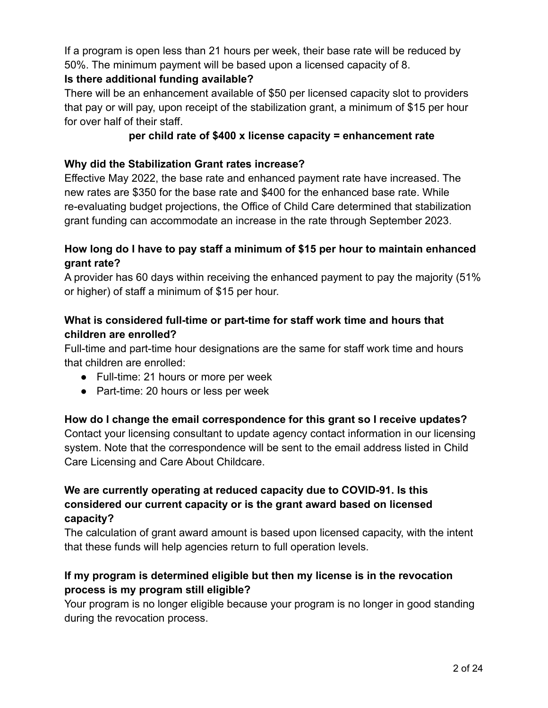If a program is open less than 21 hours per week, their base rate will be reduced by 50%. The minimum payment will be based upon a licensed capacity of 8.

## **Is there additional funding available?**

There will be an enhancement available of \$50 per licensed capacity slot to providers that pay or will pay, upon receipt of the stabilization grant, a minimum of \$15 per hour for over half of their staff.

# **per child rate of \$400 x license capacity = enhancement rate**

## **Why did the Stabilization Grant rates increase?**

Effective May 2022, the base rate and enhanced payment rate have increased. The new rates are \$350 for the base rate and \$400 for the enhanced base rate. While re-evaluating budget projections, the Office of Child Care determined that stabilization grant funding can accommodate an increase in the rate through September 2023.

# **How long do I have to pay staff a minimum of \$15 per hour to maintain enhanced grant rate?**

A provider has 60 days within receiving the enhanced payment to pay the majority (51% or higher) of staff a minimum of \$15 per hour.

# **What is considered full-time or part-time for staff work time and hours that children are enrolled?**

Full-time and part-time hour designations are the same for staff work time and hours that children are enrolled:

- Full-time: 21 hours or more per week
- Part-time: 20 hours or less per week

## **How do I change the email correspondence for this grant so I receive updates?**

Contact your licensing consultant to update agency contact information in our licensing system. Note that the correspondence will be sent to the email address listed in Child Care Licensing and Care About Childcare.

# **We are currently operating at reduced capacity due to COVID-91. Is this considered our current capacity or is the grant award based on licensed capacity?**

The calculation of grant award amount is based upon licensed capacity, with the intent that these funds will help agencies return to full operation levels.

# **If my program is determined eligible but then my license is in the revocation process is my program still eligible?**

Your program is no longer eligible because your program is no longer in good standing during the revocation process.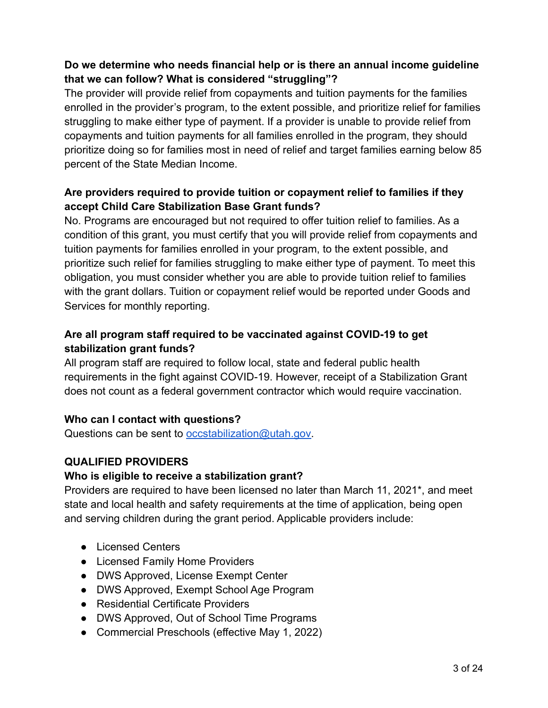# **Do we determine who needs financial help or is there an annual income guideline that we can follow? What is considered "struggling"?**

The provider will provide relief from copayments and tuition payments for the families enrolled in the provider's program, to the extent possible, and prioritize relief for families struggling to make either type of payment. If a provider is unable to provide relief from copayments and tuition payments for all families enrolled in the program, they should prioritize doing so for families most in need of relief and target families earning below 85 percent of the State Median Income.

# **Are providers required to provide tuition or copayment relief to families if they accept Child Care Stabilization Base Grant funds?**

No. Programs are encouraged but not required to offer tuition relief to families. As a condition of this grant, you must certify that you will provide relief from copayments and tuition payments for families enrolled in your program, to the extent possible, and prioritize such relief for families struggling to make either type of payment. To meet this obligation, you must consider whether you are able to provide tuition relief to families with the grant dollars. Tuition or copayment relief would be reported under Goods and Services for monthly reporting.

# **Are all program staff required to be vaccinated against COVID-19 to get stabilization grant funds?**

All program staff are required to follow local, state and federal public health requirements in the fight against COVID-19. However, receipt of a Stabilization Grant does not count as a federal government contractor which would require vaccination.

# **Who can I contact with questions?**

Questions can be sent to [occstabilization@utah.gov.](mailto:occstabilization@utah.gov)

# <span id="page-2-0"></span>**QUALIFIED PROVIDERS**

## **Who is eligible to receive a stabilization grant?**

Providers are required to have been licensed no later than March 11, 2021\*, and meet state and local health and safety requirements at the time of application, being open and serving children during the grant period. Applicable providers include:

- Licensed Centers
- Licensed Family Home Providers
- DWS Approved, License Exempt Center
- DWS Approved, Exempt School Age Program
- Residential Certificate Providers
- DWS Approved, Out of School Time Programs
- Commercial Preschools (effective May 1, 2022)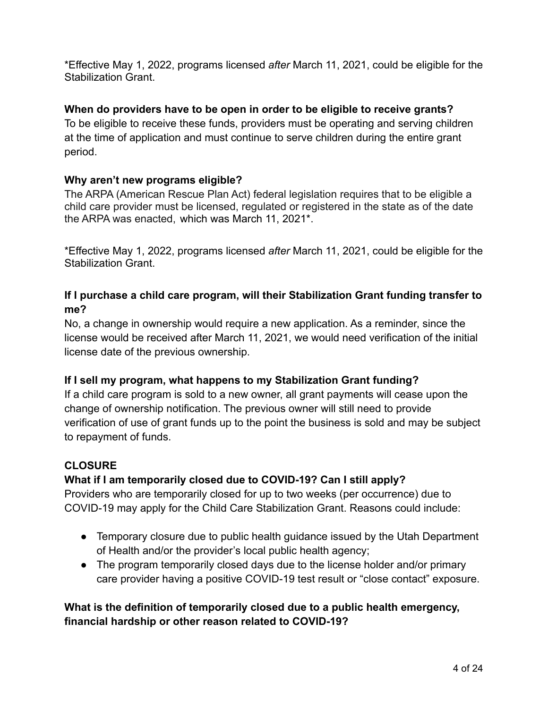\*Effective May 1, 2022, programs licensed *after* March 11, 2021, could be eligible for the Stabilization Grant.

## **When do providers have to be open in order to be eligible to receive grants?**

To be eligible to receive these funds, providers must be operating and serving children at the time of application and must continue to serve children during the entire grant period.

## **Why aren't new programs eligible?**

The ARPA (American Rescue Plan Act) federal legislation requires that to be eligible a child care provider must be licensed, regulated or registered in the state as of the date the ARPA was enacted, which was March 11, 2021\*.

\*Effective May 1, 2022, programs licensed *after* March 11, 2021, could be eligible for the Stabilization Grant.

# **If I purchase a child care program, will their Stabilization Grant funding transfer to me?**

No, a change in ownership would require a new application. As a reminder, since the license would be received after March 11, 2021, we would need verification of the initial license date of the previous ownership.

## **If I sell my program, what happens to my Stabilization Grant funding?**

If a child care program is sold to a new owner, all grant payments will cease upon the change of ownership notification. The previous owner will still need to provide verification of use of grant funds up to the point the business is sold and may be subject to repayment of funds.

## **CLOSURE**

## **What if I am temporarily closed due to COVID-19? Can I still apply?**

Providers who are temporarily closed for up to two weeks (per occurrence) due to COVID-19 may apply for the Child Care Stabilization Grant. Reasons could include:

- Temporary closure due to public health guidance issued by the Utah Department of Health and/or the provider's local public health agency;
- The program temporarily closed days due to the license holder and/or primary care provider having a positive COVID-19 test result or "close contact" exposure.

# **What is the definition of temporarily closed due to a public health emergency, financial hardship or other reason related to COVID-19?**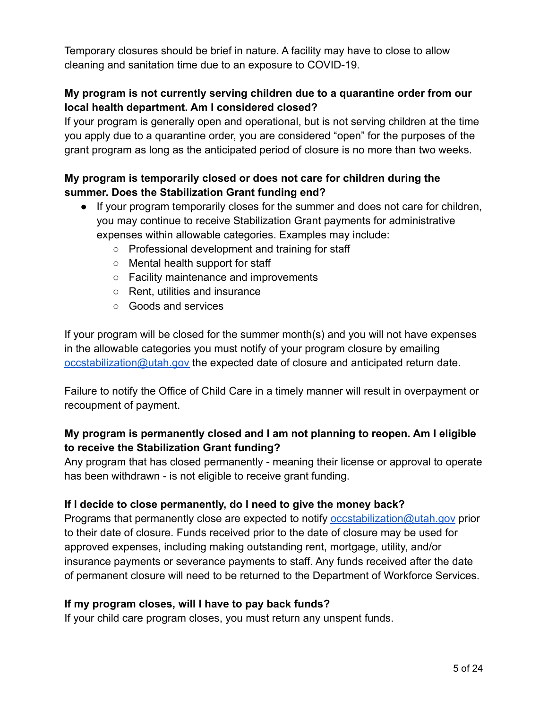Temporary closures should be brief in nature. A facility may have to close to allow cleaning and sanitation time due to an exposure to COVID-19.

# **My program is not currently serving children due to a quarantine order from our local health department. Am I considered closed?**

If your program is generally open and operational, but is not serving children at the time you apply due to a quarantine order, you are considered "open" for the purposes of the grant program as long as the anticipated period of closure is no more than two weeks.

# **My program is temporarily closed or does not care for children during the summer. Does the Stabilization Grant funding end?**

- If your program temporarily closes for the summer and does not care for children, you may continue to receive Stabilization Grant payments for administrative expenses within allowable categories. Examples may include:
	- Professional development and training for staff
	- Mental health support for staff
	- Facility maintenance and improvements
	- Rent, utilities and insurance
	- Goods and services

If your program will be closed for the summer month(s) and you will not have expenses in the allowable categories you must notify of your program closure by emailing [occstabilization@utah.gov](mailto:occstabilization@utah.gov) the expected date of closure and anticipated return date.

Failure to notify the Office of Child Care in a timely manner will result in overpayment or recoupment of payment.

# **My program is permanently closed and I am not planning to reopen. Am I eligible to receive the Stabilization Grant funding?**

Any program that has closed permanently - meaning their license or approval to operate has been withdrawn - is not eligible to receive grant funding.

## **If I decide to close permanently, do I need to give the money back?**

Programs that permanently close are expected to notify [occstabilization@utah.gov](mailto:occstabilization@utah.gov) prior to their date of closure. Funds received prior to the date of closure may be used for approved expenses, including making outstanding rent, mortgage, utility, and/or insurance payments or severance payments to staff. Any funds received after the date of permanent closure will need to be returned to the Department of Workforce Services.

## **If my program closes, will I have to pay back funds?**

If your child care program closes, you must return any unspent funds.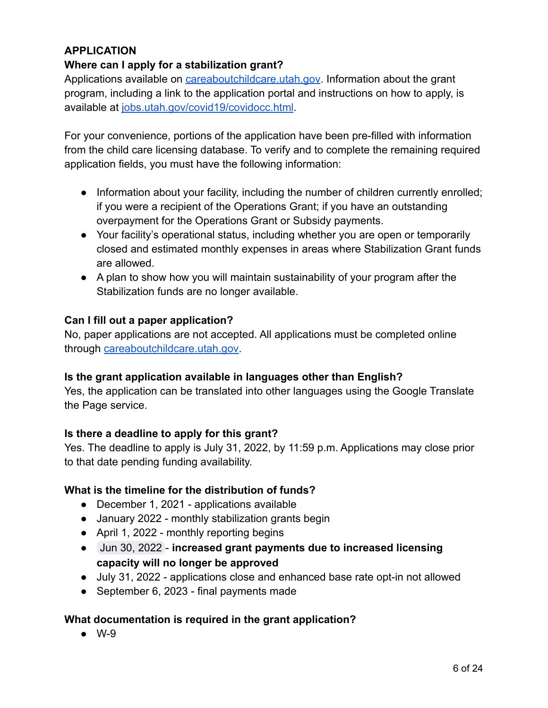# <span id="page-5-0"></span>**APPLICATION**

## **Where can I apply for a stabilization grant?**

Applications available on [careaboutchildcare.utah.gov](https://careaboutchildcare.utah.gov). Information about the grant program, including a link to the application portal and instructions on how to apply, is available at [jobs.utah.gov/covid19/covidocc.html](https://jobs.utah.gov/covid19/covidocc.html).

For your convenience, portions of the application have been pre-filled with information from the child care licensing database. To verify and to complete the remaining required application fields, you must have the following information:

- Information about your facility, including the number of children currently enrolled; if you were a recipient of the Operations Grant; if you have an outstanding overpayment for the Operations Grant or Subsidy payments.
- Your facility's operational status, including whether you are open or temporarily closed and estimated monthly expenses in areas where Stabilization Grant funds are allowed.
- A plan to show how you will maintain sustainability of your program after the Stabilization funds are no longer available.

#### **Can I fill out a paper application?**

No, paper applications are not accepted. All applications must be completed online through [careaboutchildcare.utah.gov.](http://www.careaboutchildcare.utah.gov)

#### **Is the grant application available in languages other than English?**

Yes, the application can be translated into other languages using the Google Translate the Page service.

## **Is there a deadline to apply for this grant?**

Yes. The deadline to apply is July 31, 2022, by 11:59 p.m. Applications may close prior to that date pending funding availability.

## **What is the timeline for the distribution of funds?**

- December 1, 2021 applications available
- January 2022 monthly stabilization grants begin
- April 1, 2022 monthly reporting begins
- Jun 30, 2022 **increased grant payments due to increased licensing capacity will no longer be approved**
- July 31, 2022 applications close and enhanced base rate opt-in not allowed
- September 6, 2023 final payments made

## **What documentation is required in the grant application?**

● W-9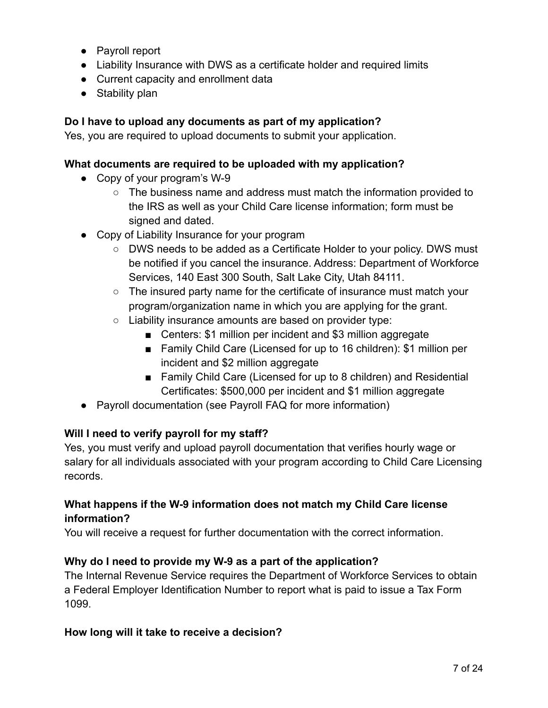- Payroll report
- Liability Insurance with DWS as a certificate holder and required limits
- Current capacity and enrollment data
- Stability plan

## **Do I have to upload any documents as part of my application?**

Yes, you are required to upload documents to submit your application.

#### **What documents are required to be uploaded with my application?**

- Copy of your program's W-9
	- $\circ$  The business name and address must match the information provided to the IRS as well as your Child Care license information; form must be signed and dated.
- Copy of Liability Insurance for your program
	- DWS needs to be added as a Certificate Holder to your policy. DWS must be notified if you cancel the insurance. Address: Department of Workforce Services, 140 East 300 South, Salt Lake City, Utah 84111.
	- The insured party name for the certificate of insurance must match your program/organization name in which you are applying for the grant.
	- Liability insurance amounts are based on provider type:
		- Centers: \$1 million per incident and \$3 million aggregate
		- Family Child Care (Licensed for up to 16 children): \$1 million per incident and \$2 million aggregate
		- Family Child Care (Licensed for up to 8 children) and Residential Certificates: \$500,000 per incident and \$1 million aggregate
- Payroll documentation (see Payroll FAQ for more information)

## **Will I need to verify payroll for my staff?**

Yes, you must verify and upload payroll documentation that verifies hourly wage or salary for all individuals associated with your program according to Child Care Licensing records.

# **What happens if the W-9 information does not match my Child Care license information?**

You will receive a request for further documentation with the correct information.

## **Why do I need to provide my W-9 as a part of the application?**

The Internal Revenue Service requires the Department of Workforce Services to obtain a Federal Employer Identification Number to report what is paid to issue a Tax Form 1099.

## **How long will it take to receive a decision?**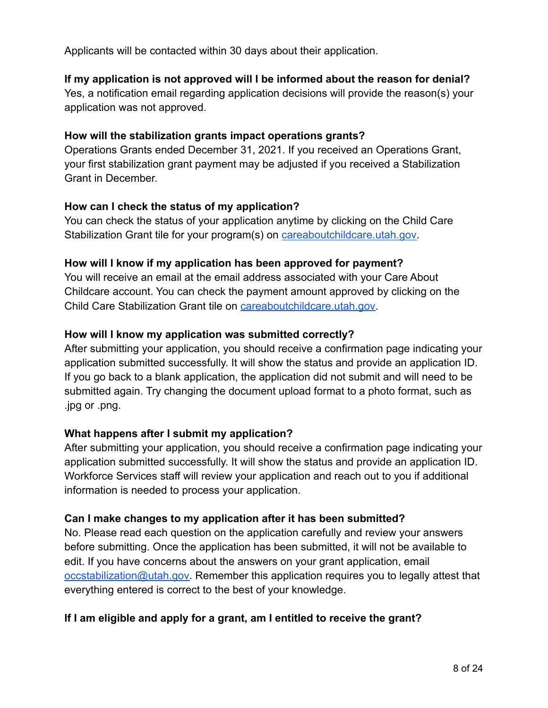Applicants will be contacted within 30 days about their application.

## **If my application is not approved will I be informed about the reason for denial?**

Yes, a notification email regarding application decisions will provide the reason(s) your application was not approved.

#### **How will the stabilization grants impact operations grants?**

Operations Grants ended December 31, 2021. If you received an Operations Grant, your first stabilization grant payment may be adjusted if you received a Stabilization Grant in December.

#### **How can I check the status of my application?**

You can check the status of your application anytime by clicking on the Child Care Stabilization Grant tile for your program(s) on **careaboutchildcare**.utah.gov.

#### **How will I know if my application has been approved for payment?**

You will receive an email at the email address associated with your Care About Childcare account. You can check the payment amount approved by clicking on the Child Care Stabilization Grant tile on [careaboutchildcare.utah.gov.](http://www.careaboutchildcare.utah.gov)

#### **How will I know my application was submitted correctly?**

After submitting your application, you should receive a confirmation page indicating your application submitted successfully. It will show the status and provide an application ID. If you go back to a blank application, the application did not submit and will need to be submitted again. Try changing the document upload format to a photo format, such as .jpg or .png.

## **What happens after I submit my application?**

After submitting your application, you should receive a confirmation page indicating your application submitted successfully. It will show the status and provide an application ID. Workforce Services staff will review your application and reach out to you if additional information is needed to process your application.

## **Can I make changes to my application after it has been submitted?**

No. Please read each question on the application carefully and review your answers before submitting. Once the application has been submitted, it will not be available to edit. If you have concerns about the answers on your grant application, email [occstabilization@utah.gov.](mailto:occstabilization@utah.gov) Remember this application requires you to legally attest that everything entered is correct to the best of your knowledge.

#### **If I am eligible and apply for a grant, am I entitled to receive the grant?**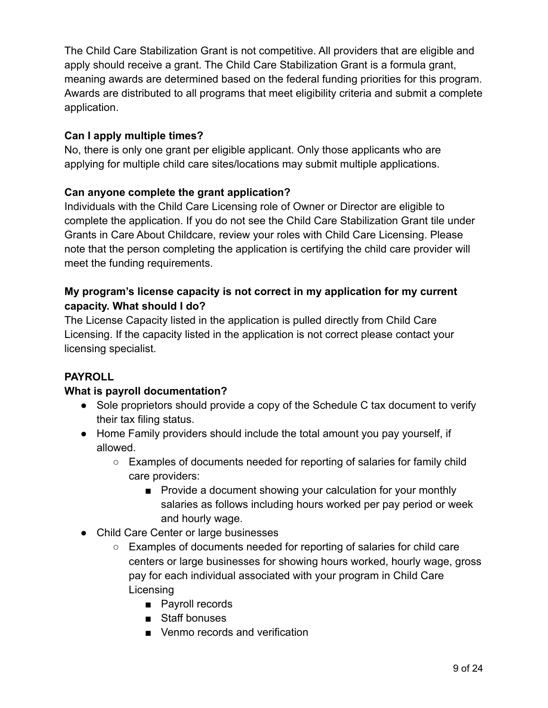The Child Care Stabilization Grant is not competitive. All providers that are eligible and apply should receive a grant. The Child Care Stabilization Grant is a formula grant, meaning awards are determined based on the federal funding priorities for this program. Awards are distributed to all programs that meet eligibility criteria and submit a complete application.

# **Can I apply multiple times?**

No, there is only one grant per eligible applicant. Only those applicants who are applying for multiple child care sites/locations may submit multiple applications.

# **Can anyone complete the grant application?**

Individuals with the Child Care Licensing role of Owner or Director are eligible to complete the application. If you do not see the Child Care Stabilization Grant tile under Grants in Care About Childcare, review your roles with Child Care Licensing. Please note that the person completing the application is certifying the child care provider will meet the funding requirements.

## **My program's license capacity is not correct in my application for my current capacity. What should I do?**

The License Capacity listed in the application is pulled directly from Child Care Licensing. If the capacity listed in the application is not correct please contact your licensing specialist.

## <span id="page-8-0"></span>**PAYROLL**

## **What is payroll documentation?**

- Sole proprietors should provide a copy of the Schedule C tax document to verify their tax filing status.
- Home Family providers should include the total amount you pay yourself, if allowed.
	- Examples of documents needed for reporting of salaries for family child care providers:
		- Provide a document showing your calculation for your monthly salaries as follows including hours worked per pay period or week and hourly wage.
- Child Care Center or large businesses
	- Examples of documents needed for reporting of salaries for child care centers or large businesses for showing hours worked, hourly wage, gross pay for each individual associated with your program in Child Care **Licensing** 
		- Payroll records
		- Staff bonuses
		- Venmo records and verification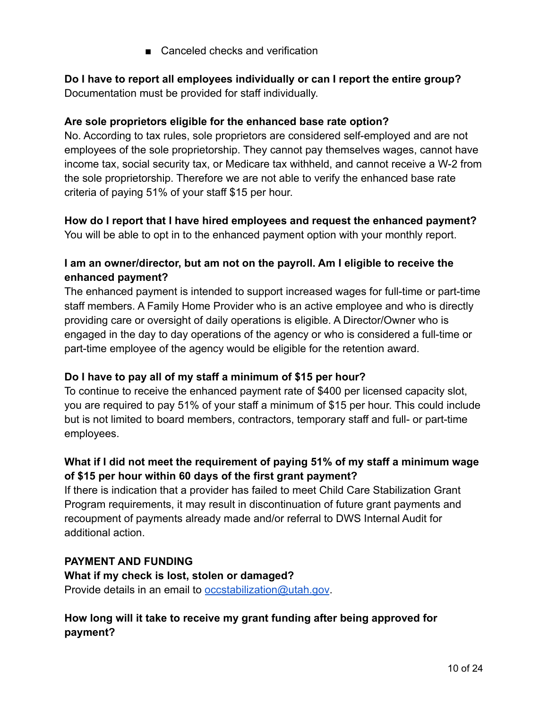■ Canceled checks and verification

**Do I have to report all employees individually or can I report the entire group?** Documentation must be provided for staff individually.

## **Are sole proprietors eligible for the enhanced base rate option?**

No. According to tax rules, sole proprietors are considered self-employed and are not employees of the sole proprietorship. They cannot pay themselves wages, cannot have income tax, social security tax, or Medicare tax withheld, and cannot receive a W-2 from the sole proprietorship. Therefore we are not able to verify the enhanced base rate criteria of paying 51% of your staff \$15 per hour.

# **How do I report that I have hired employees and request the enhanced payment?**

You will be able to opt in to the enhanced payment option with your monthly report.

# **I am an owner/director, but am not on the payroll. Am I eligible to receive the enhanced payment?**

The enhanced payment is intended to support increased wages for full-time or part-time staff members. A Family Home Provider who is an active employee and who is directly providing care or oversight of daily operations is eligible. A Director/Owner who is engaged in the day to day operations of the agency or who is considered a full-time or part-time employee of the agency would be eligible for the retention award.

## **Do I have to pay all of my staff a minimum of \$15 per hour?**

To continue to receive the enhanced payment rate of \$400 per licensed capacity slot, you are required to pay 51% of your staff a minimum of \$15 per hour. This could include but is not limited to board members, contractors, temporary staff and full- or part-time employees.

# **What if I did not meet the requirement of paying 51% of my staff a minimum wage of \$15 per hour within 60 days of the first grant payment?**

If there is indication that a provider has failed to meet Child Care Stabilization Grant Program requirements, it may result in discontinuation of future grant payments and recoupment of payments already made and/or referral to DWS Internal Audit for additional action.

## <span id="page-9-0"></span>**PAYMENT AND FUNDING**

**What if my check is lost, stolen or damaged?** Provide details in an email to [occstabilization@utah.gov](mailto:occstabilization@utah.gov).

# **How long will it take to receive my grant funding after being approved for payment?**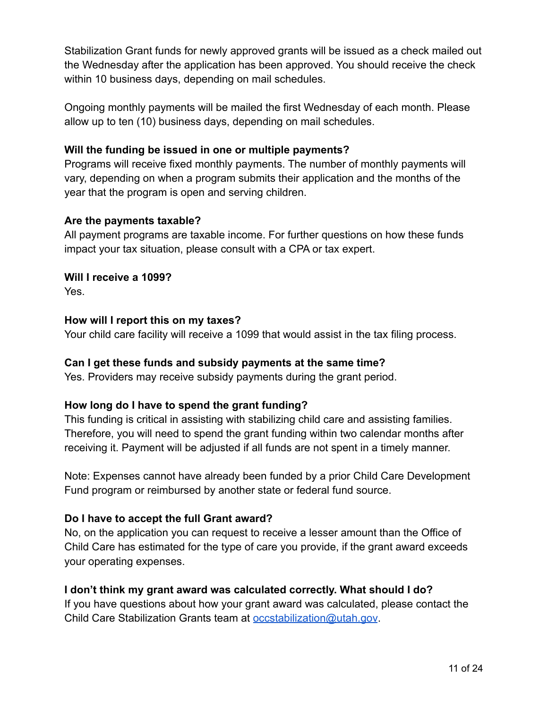Stabilization Grant funds for newly approved grants will be issued as a check mailed out the Wednesday after the application has been approved. You should receive the check within 10 business days, depending on mail schedules.

Ongoing monthly payments will be mailed the first Wednesday of each month. Please allow up to ten (10) business days, depending on mail schedules.

#### **Will the funding be issued in one or multiple payments?**

Programs will receive fixed monthly payments. The number of monthly payments will vary, depending on when a program submits their application and the months of the year that the program is open and serving children.

#### **Are the payments taxable?**

All payment programs are taxable income. For further questions on how these funds impact your tax situation, please consult with a CPA or tax expert.

**Will I receive a 1099?** Yes.

#### **How will I report this on my taxes?**

Your child care facility will receive a 1099 that would assist in the tax filing process.

#### **Can I get these funds and subsidy payments at the same time?**

Yes. Providers may receive subsidy payments during the grant period.

## **How long do I have to spend the grant funding?**

This funding is critical in assisting with stabilizing child care and assisting families. Therefore, you will need to spend the grant funding within two calendar months after receiving it. Payment will be adjusted if all funds are not spent in a timely manner.

Note: Expenses cannot have already been funded by a prior Child Care Development Fund program or reimbursed by another state or federal fund source.

## **Do I have to accept the full Grant award?**

No, on the application you can request to receive a lesser amount than the Office of Child Care has estimated for the type of care you provide, if the grant award exceeds your operating expenses.

## **I don't think my grant award was calculated correctly. What should I do?**

If you have questions about how your grant award was calculated, please contact the Child Care Stabilization Grants team at [occstabilization@utah.gov](mailto:occstabilization@utah.gov).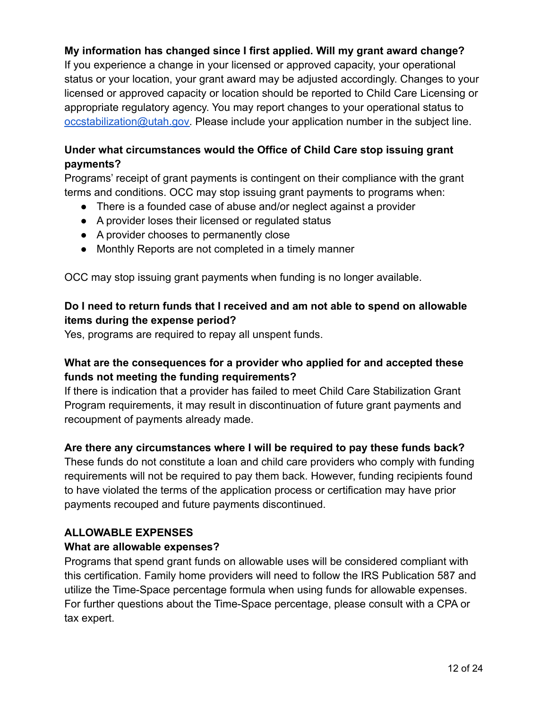# **My information has changed since I first applied. Will my grant award change?**

If you experience a change in your licensed or approved capacity, your operational status or your location, your grant award may be adjusted accordingly. Changes to your licensed or approved capacity or location should be reported to Child Care Licensing or appropriate regulatory agency. You may report changes to your operational status to [occstabilization@utah.gov.](mailto:occstabilization@utah.gov) Please include your application number in the subject line.

# **Under what circumstances would the Office of Child Care stop issuing grant payments?**

Programs' receipt of grant payments is contingent on their compliance with the grant terms and conditions. OCC may stop issuing grant payments to programs when:

- There is a founded case of abuse and/or neglect against a provider
- A provider loses their licensed or regulated status
- A provider chooses to permanently close
- Monthly Reports are not completed in a timely manner

OCC may stop issuing grant payments when funding is no longer available.

# **Do I need to return funds that I received and am not able to spend on allowable items during the expense period?**

Yes, programs are required to repay all unspent funds.

# **What are the consequences for a provider who applied for and accepted these funds not meeting the funding requirements?**

If there is indication that a provider has failed to meet Child Care Stabilization Grant Program requirements, it may result in discontinuation of future grant payments and recoupment of payments already made.

## **Are there any circumstances where I will be required to pay these funds back?**

These funds do not constitute a loan and child care providers who comply with funding requirements will not be required to pay them back. However, funding recipients found to have violated the terms of the application process or certification may have prior payments recouped and future payments discontinued.

## <span id="page-11-0"></span>**ALLOWABLE EXPENSES**

## **What are allowable expenses?**

Programs that spend grant funds on allowable uses will be considered compliant with this certification. Family home providers will need to follow the IRS Publication 587 and utilize the Time-Space percentage formula when using funds for allowable expenses. For further questions about the Time-Space percentage, please consult with a CPA or tax expert.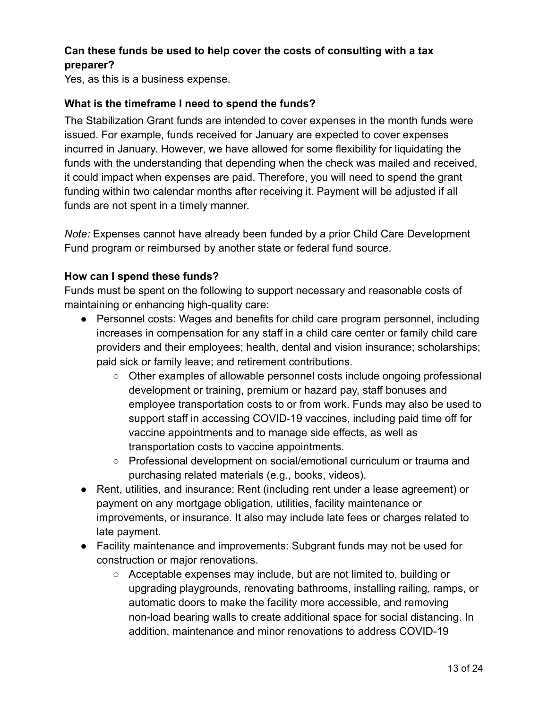## **Can these funds be used to help cover the costs of consulting with a tax preparer?**

Yes, as this is a business expense.

#### **What is the timeframe I need to spend the funds?**

The Stabilization Grant funds are intended to cover expenses in the month funds were issued. For example, funds received for January are expected to cover expenses incurred in January. However, we have allowed for some flexibility for liquidating the funds with the understanding that depending when the check was mailed and received, it could impact when expenses are paid. Therefore, you will need to spend the grant funding within two calendar months after receiving it. Payment will be adjusted if all funds are not spent in a timely manner.

*Note:* Expenses cannot have already been funded by a prior Child Care Development Fund program or reimbursed by another state or federal fund source.

#### **How can I spend these funds?**

Funds must be spent on the following to support necessary and reasonable costs of maintaining or enhancing high-quality care:

- Personnel costs: Wages and benefits for child care program personnel, including increases in compensation for any staff in a child care center or family child care providers and their employees; health, dental and vision insurance; scholarships; paid sick or family leave; and retirement contributions.
	- Other examples of allowable personnel costs include ongoing professional development or training, premium or hazard pay, staff bonuses and employee transportation costs to or from work. Funds may also be used to support staff in accessing COVID-19 vaccines, including paid time off for vaccine appointments and to manage side effects, as well as transportation costs to vaccine appointments.
	- Professional development on social/emotional curriculum or trauma and purchasing related materials (e.g., books, videos).
- Rent, utilities, and insurance: Rent (including rent under a lease agreement) or payment on any mortgage obligation, utilities, facility maintenance or improvements, or insurance. It also may include late fees or charges related to late payment.
- Facility maintenance and improvements: Subgrant funds may not be used for construction or major renovations.
	- Acceptable expenses may include, but are not limited to, building or upgrading playgrounds, renovating bathrooms, installing railing, ramps, or automatic doors to make the facility more accessible, and removing non-load bearing walls to create additional space for social distancing. In addition, maintenance and minor renovations to address COVID-19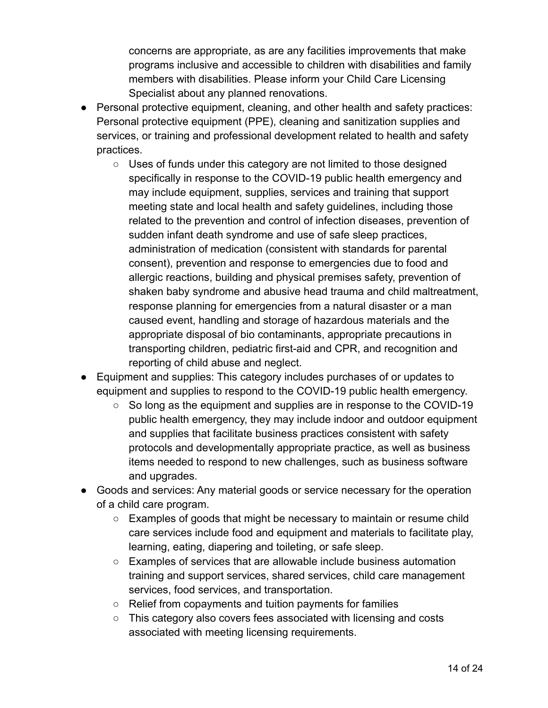concerns are appropriate, as are any facilities improvements that make programs inclusive and accessible to children with disabilities and family members with disabilities. Please inform your Child Care Licensing Specialist about any planned renovations.

- Personal protective equipment, cleaning, and other health and safety practices: Personal protective equipment (PPE), cleaning and sanitization supplies and services, or training and professional development related to health and safety practices.
	- Uses of funds under this category are not limited to those designed specifically in response to the COVID-19 public health emergency and may include equipment, supplies, services and training that support meeting state and local health and safety guidelines, including those related to the prevention and control of infection diseases, prevention of sudden infant death syndrome and use of safe sleep practices, administration of medication (consistent with standards for parental consent), prevention and response to emergencies due to food and allergic reactions, building and physical premises safety, prevention of shaken baby syndrome and abusive head trauma and child maltreatment, response planning for emergencies from a natural disaster or a man caused event, handling and storage of hazardous materials and the appropriate disposal of bio contaminants, appropriate precautions in transporting children, pediatric first-aid and CPR, and recognition and reporting of child abuse and neglect.
- Equipment and supplies: This category includes purchases of or updates to equipment and supplies to respond to the COVID-19 public health emergency.
	- $\circ$  So long as the equipment and supplies are in response to the COVID-19 public health emergency, they may include indoor and outdoor equipment and supplies that facilitate business practices consistent with safety protocols and developmentally appropriate practice, as well as business items needed to respond to new challenges, such as business software and upgrades.
- Goods and services: Any material goods or service necessary for the operation of a child care program.
	- $\circ$  Examples of goods that might be necessary to maintain or resume child care services include food and equipment and materials to facilitate play, learning, eating, diapering and toileting, or safe sleep.
	- Examples of services that are allowable include business automation training and support services, shared services, child care management services, food services, and transportation.
	- Relief from copayments and tuition payments for families
	- This category also covers fees associated with licensing and costs associated with meeting licensing requirements.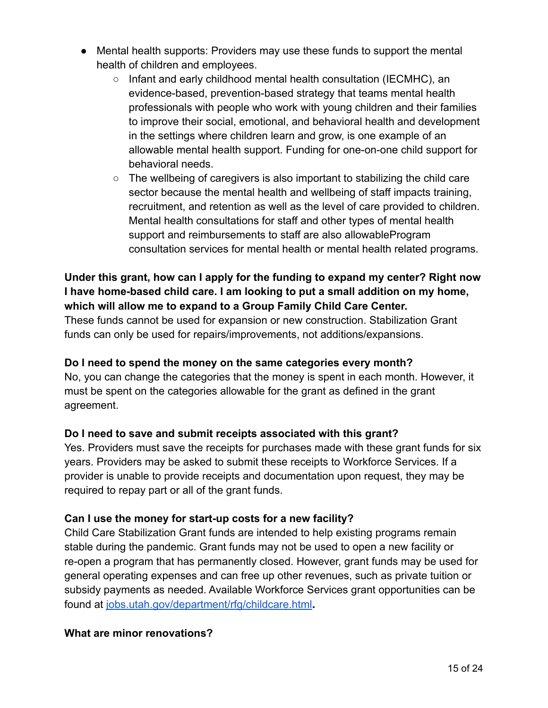- Mental health supports: Providers may use these funds to support the mental health of children and employees.
	- Infant and early childhood mental health consultation (IECMHC), an evidence-based, prevention-based strategy that teams mental health professionals with people who work with young children and their families to improve their social, emotional, and behavioral health and development in the settings where children learn and grow, is one example of an allowable mental health support. Funding for one-on-one child support for behavioral needs.
	- $\circ$  The wellbeing of caregivers is also important to stabilizing the child care sector because the mental health and wellbeing of staff impacts training, recruitment, and retention as well as the level of care provided to children. Mental health consultations for staff and other types of mental health support and reimbursements to staff are also allowableProgram consultation services for mental health or mental health related programs.

## **Under this grant, how can I apply for the funding to expand my center? Right now I have home-based child care. I am looking to put a small addition on my home, which will allow me to expand to a Group Family Child Care Center.**

These funds cannot be used for expansion or new construction. Stabilization Grant funds can only be used for repairs/improvements, not additions/expansions.

## **Do I need to spend the money on the same categories every month?**

No, you can change the categories that the money is spent in each month. However, it must be spent on the categories allowable for the grant as defined in the grant agreement.

# **Do I need to save and submit receipts associated with this grant?**

Yes. Providers must save the receipts for purchases made with these grant funds for six years. Providers may be asked to submit these receipts to Workforce Services. If a provider is unable to provide receipts and documentation upon request, they may be required to repay part or all of the grant funds.

# **Can I use the money for start-up costs for a new facility?**

Child Care Stabilization Grant funds are intended to help existing programs remain stable during the pandemic. Grant funds may not be used to open a new facility or re-open a program that has permanently closed. However, grant funds may be used for general operating expenses and can free up other revenues, such as private tuition or subsidy payments as needed. Available Workforce Services grant opportunities can be found at [jobs.utah.gov/department/rfg/childcare.html](https://jobs.utah.gov/department/rfg/childcare.html)**.**

## **What are minor renovations?**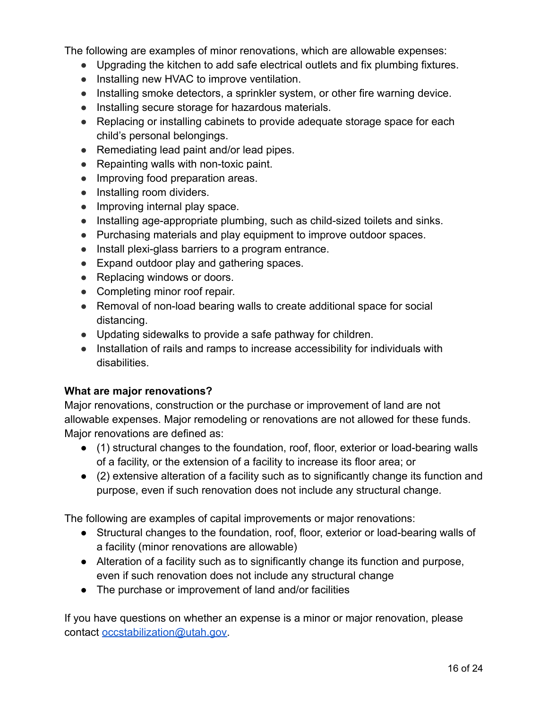The following are examples of minor renovations, which are allowable expenses:

- Upgrading the kitchen to add safe electrical outlets and fix plumbing fixtures.
- Installing new HVAC to improve ventilation.
- Installing smoke detectors, a sprinkler system, or other fire warning device.
- Installing secure storage for hazardous materials.
- Replacing or installing cabinets to provide adequate storage space for each child's personal belongings.
- Remediating lead paint and/or lead pipes.
- Repainting walls with non-toxic paint.
- Improving food preparation areas.
- Installing room dividers.
- Improving internal play space.
- Installing age-appropriate plumbing, such as child-sized toilets and sinks.
- Purchasing materials and play equipment to improve outdoor spaces.
- Install plexi-glass barriers to a program entrance.
- Expand outdoor play and gathering spaces.
- Replacing windows or doors.
- Completing minor roof repair.
- Removal of non-load bearing walls to create additional space for social distancing.
- Updating sidewalks to provide a safe pathway for children.
- Installation of rails and ramps to increase accessibility for individuals with disabilities.

#### **What are major renovations?**

Major renovations, construction or the purchase or improvement of land are not allowable expenses. Major remodeling or renovations are not allowed for these funds. Major renovations are defined as:

- (1) structural changes to the foundation, roof, floor, exterior or load-bearing walls of a facility, or the extension of a facility to increase its floor area; or
- (2) extensive alteration of a facility such as to significantly change its function and purpose, even if such renovation does not include any structural change.

The following are examples of capital improvements or major renovations:

- Structural changes to the foundation, roof, floor, exterior or load-bearing walls of a facility (minor renovations are allowable)
- Alteration of a facility such as to significantly change its function and purpose, even if such renovation does not include any structural change
- The purchase or improvement of land and/or facilities

If you have questions on whether an expense is a minor or major renovation, please contact [occstabilization@utah.gov.](mailto:occstabilization@utah.gov)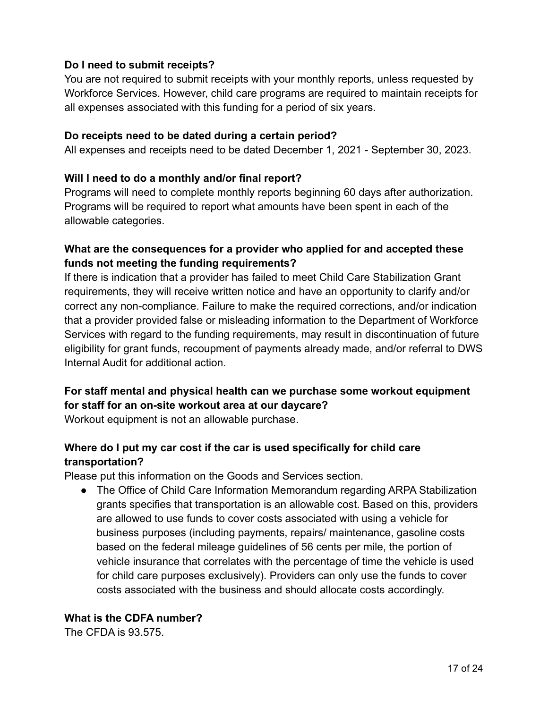## **Do I need to submit receipts?**

You are not required to submit receipts with your monthly reports, unless requested by Workforce Services. However, child care programs are required to maintain receipts for all expenses associated with this funding for a period of six years.

#### **Do receipts need to be dated during a certain period?**

All expenses and receipts need to be dated December 1, 2021 - September 30, 2023.

#### **Will I need to do a monthly and/or final report?**

Programs will need to complete monthly reports beginning 60 days after authorization. Programs will be required to report what amounts have been spent in each of the allowable categories.

## **What are the consequences for a provider who applied for and accepted these funds not meeting the funding requirements?**

If there is indication that a provider has failed to meet Child Care Stabilization Grant requirements, they will receive written notice and have an opportunity to clarify and/or correct any non-compliance. Failure to make the required corrections, and/or indication that a provider provided false or misleading information to the Department of Workforce Services with regard to the funding requirements, may result in discontinuation of future eligibility for grant funds, recoupment of payments already made, and/or referral to DWS Internal Audit for additional action.

# **For staff mental and physical health can we purchase some workout equipment for staff for an on-site workout area at our daycare?**

Workout equipment is not an allowable purchase.

# **Where do I put my car cost if the car is used specifically for child care transportation?**

Please put this information on the Goods and Services section.

● The Office of Child Care Information Memorandum regarding ARPA Stabilization grants specifies that transportation is an allowable cost. Based on this, providers are allowed to use funds to cover costs associated with using a vehicle for business purposes (including payments, repairs/ maintenance, gasoline costs based on the federal mileage guidelines of 56 cents per mile, the portion of vehicle insurance that correlates with the percentage of time the vehicle is used for child care purposes exclusively). Providers can only use the funds to cover costs associated with the business and should allocate costs accordingly.

# **What is the CDFA number?**

The CFDA is 93.575.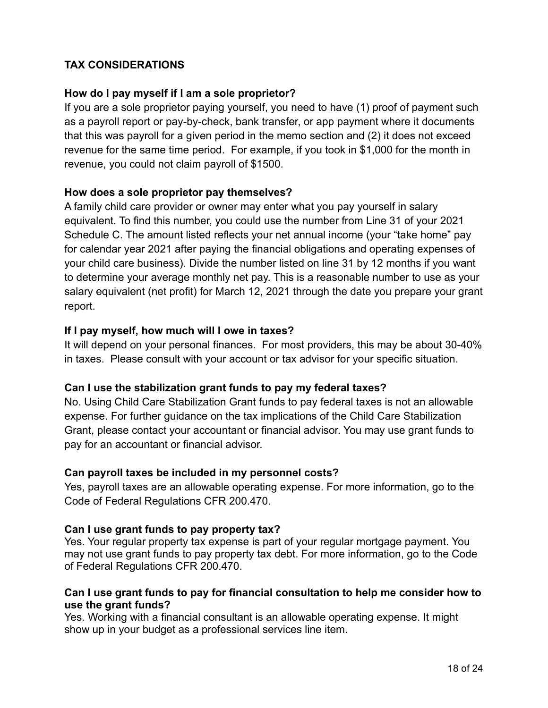## <span id="page-17-0"></span>**TAX CONSIDERATIONS**

#### **How do I pay myself if I am a sole proprietor?**

If you are a sole proprietor paying yourself, you need to have (1) proof of payment such as a payroll report or pay-by-check, bank transfer, or app payment where it documents that this was payroll for a given period in the memo section and (2) it does not exceed revenue for the same time period. For example, if you took in \$1,000 for the month in revenue, you could not claim payroll of \$1500.

#### **How does a sole proprietor pay themselves?**

A family child care provider or owner may enter what you pay yourself in salary equivalent. To find this number, you could use the number from Line 31 of your 2021 Schedule C. The amount listed reflects your net annual income (your "take home" pay for calendar year 2021 after paying the financial obligations and operating expenses of your child care business). Divide the number listed on line 31 by 12 months if you want to determine your average monthly net pay. This is a reasonable number to use as your salary equivalent (net profit) for March 12, 2021 through the date you prepare your grant report.

#### **If I pay myself, how much will I owe in taxes?**

It will depend on your personal finances. For most providers, this may be about 30-40% in taxes. Please consult with your account or tax advisor for your specific situation.

## **Can I use the stabilization grant funds to pay my federal taxes?**

No. Using Child Care Stabilization Grant funds to pay federal taxes is not an allowable expense. For further guidance on the tax implications of the Child Care Stabilization Grant, please contact your accountant or financial advisor. You may use grant funds to pay for an accountant or financial advisor.

#### **Can payroll taxes be included in my personnel costs?**

Yes, payroll taxes are an allowable operating expense. For more information, go to the Code of Federal Regulations CFR 200.470.

#### **Can I use grant funds to pay property tax?**

Yes. Your regular property tax expense is part of your regular mortgage payment. You may not use grant funds to pay property tax debt. For more information, go to the Code of Federal Regulations CFR 200.470.

#### **Can I use grant funds to pay for financial consultation to help me consider how to use the grant funds?**

Yes. Working with a financial consultant is an allowable operating expense. It might show up in your budget as a professional services line item.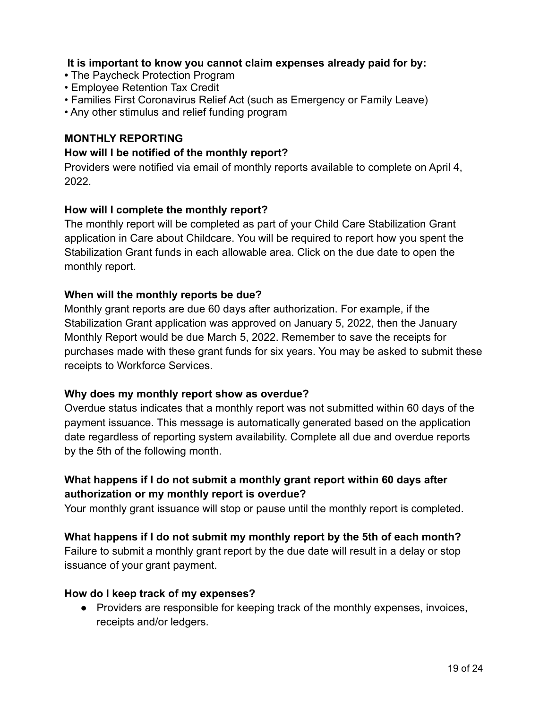#### **It is important to know you cannot claim expenses already paid for by:**

- **•** The Paycheck Protection Program
- Employee Retention Tax Credit
- Families First Coronavirus Relief Act (such as Emergency or Family Leave)
- Any other stimulus and relief funding program

# <span id="page-18-0"></span>**MONTHLY REPORTING**

#### **How will I be notified of the monthly report?**

Providers were notified via email of monthly reports available to complete on April 4, 2022.

#### **How will I complete the monthly report?**

The monthly report will be completed as part of your Child Care Stabilization Grant application in Care about Childcare. You will be required to report how you spent the Stabilization Grant funds in each allowable area. Click on the due date to open the monthly report.

#### **When will the monthly reports be due?**

Monthly grant reports are due 60 days after authorization. For example, if the Stabilization Grant application was approved on January 5, 2022, then the January Monthly Report would be due March 5, 2022. Remember to save the receipts for purchases made with these grant funds for six years. You may be asked to submit these receipts to Workforce Services.

#### **Why does my monthly report show as overdue?**

Overdue status indicates that a monthly report was not submitted within 60 days of the payment issuance. This message is automatically generated based on the application date regardless of reporting system availability. Complete all due and overdue reports by the 5th of the following month.

# **What happens if I do not submit a monthly grant report within 60 days after authorization or my monthly report is overdue?**

Your monthly grant issuance will stop or pause until the monthly report is completed.

#### **What happens if I do not submit my monthly report by the 5th of each month?**

Failure to submit a monthly grant report by the due date will result in a delay or stop issuance of your grant payment.

#### **How do I keep track of my expenses?**

● Providers are responsible for keeping track of the monthly expenses, invoices, receipts and/or ledgers.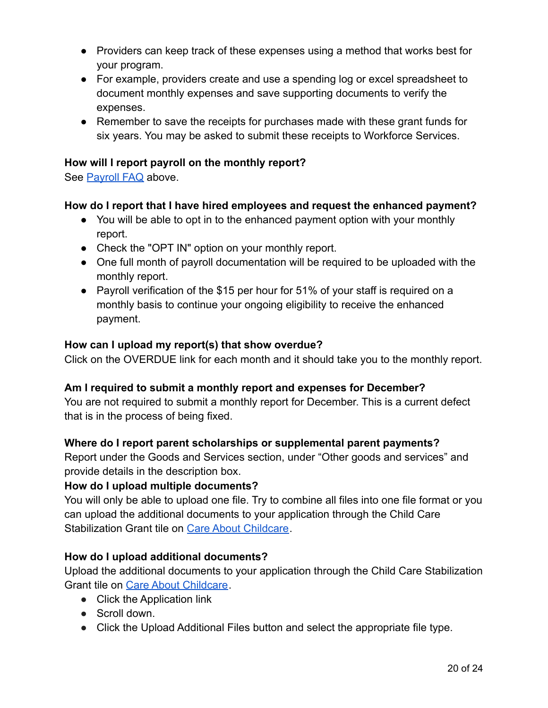- Providers can keep track of these expenses using a method that works best for your program.
- For example, providers create and use a spending log or excel spreadsheet to document monthly expenses and save supporting documents to verify the expenses.
- Remember to save the receipts for purchases made with these grant funds for six years. You may be asked to submit these receipts to Workforce Services.

#### **How will I report payroll on the monthly report?**

See [Payroll FAQ](#page-8-0) above.

#### **How do I report that I have hired employees and request the enhanced payment?**

- You will be able to opt in to the enhanced payment option with your monthly report.
- Check the "OPT IN" option on your monthly report.
- One full month of payroll documentation will be required to be uploaded with the monthly report.
- Payroll verification of the \$15 per hour for 51% of your staff is required on a monthly basis to continue your ongoing eligibility to receive the enhanced payment.

#### **How can I upload my report(s) that show overdue?**

Click on the OVERDUE link for each month and it should take you to the monthly report.

## **Am I required to submit a monthly report and expenses for December?**

You are not required to submit a monthly report for December. This is a current defect that is in the process of being fixed.

#### **Where do I report parent scholarships or supplemental parent payments?**

Report under the Goods and Services section, under "Other goods and services" and provide details in the description box.

#### **How do I upload multiple documents?**

You will only be able to upload one file. Try to combine all files into one file format or you can upload the additional documents to your application through the Child Care Stabilization Grant tile on [Care About Childcare](https://jobs.utah.gov/occ/cac.html).

#### **How do I upload additional documents?**

Upload the additional documents to your application through the Child Care Stabilization Grant tile on [Care About Childcare](https://jobs.utah.gov/occ/cac.html).

- Click the Application link
- Scroll down.
- Click the Upload Additional Files button and select the appropriate file type.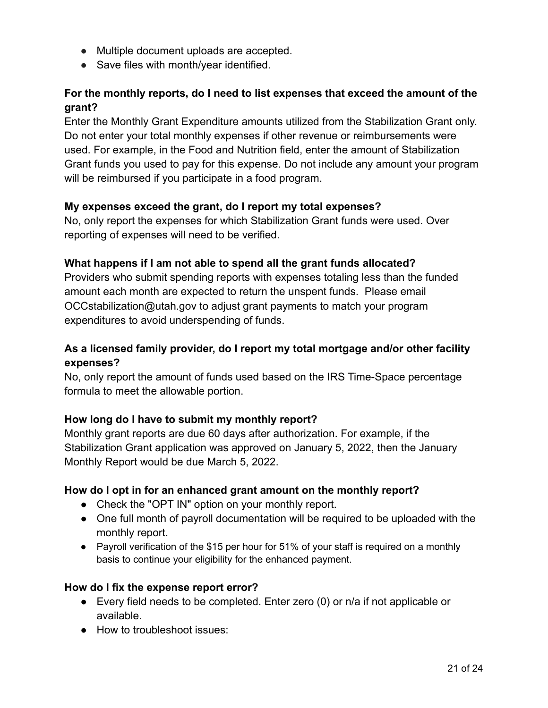- Multiple document uploads are accepted.
- Save files with month/year identified.

# **For the monthly reports, do I need to list expenses that exceed the amount of the grant?**

Enter the Monthly Grant Expenditure amounts utilized from the Stabilization Grant only. Do not enter your total monthly expenses if other revenue or reimbursements were used. For example, in the Food and Nutrition field, enter the amount of Stabilization Grant funds you used to pay for this expense. Do not include any amount your program will be reimbursed if you participate in a food program.

## **My expenses exceed the grant, do I report my total expenses?**

No, only report the expenses for which Stabilization Grant funds were used. Over reporting of expenses will need to be verified.

#### **What happens if I am not able to spend all the grant funds allocated?**

Providers who submit spending reports with expenses totaling less than the funded amount each month are expected to return the unspent funds. Please email OCCstabilization@utah.gov to adjust grant payments to match your program expenditures to avoid underspending of funds.

# **As a licensed family provider, do I report my total mortgage and/or other facility expenses?**

No, only report the amount of funds used based on the IRS Time-Space percentage formula to meet the allowable portion.

## **How long do I have to submit my monthly report?**

Monthly grant reports are due 60 days after authorization. For example, if the Stabilization Grant application was approved on January 5, 2022, then the January Monthly Report would be due March 5, 2022.

## **How do I opt in for an enhanced grant amount on the monthly report?**

- Check the "OPT IN" option on your monthly report.
- One full month of payroll documentation will be required to be uploaded with the monthly report.
- Payroll verification of the \$15 per hour for 51% of your staff is required on a monthly basis to continue your eligibility for the enhanced payment.

#### **How do I fix the expense report error?**

- Every field needs to be completed. Enter zero (0) or n/a if not applicable or available.
- How to troubleshoot issues: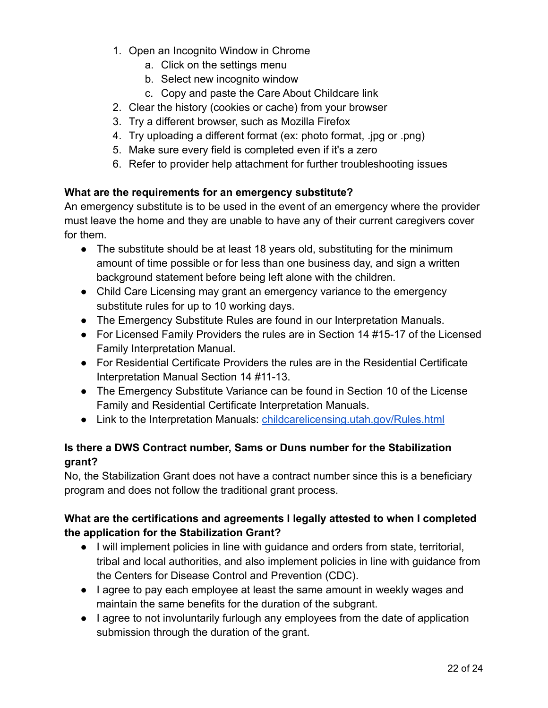- 1. Open an Incognito Window in Chrome
	- a. Click on the settings menu
	- b. Select new incognito window
	- c. Copy and paste the Care About Childcare link
- 2. Clear the history (cookies or cache) from your browser
- 3. Try a different browser, such as Mozilla Firefox
- 4. Try uploading a different format (ex: photo format, .jpg or .png)
- 5. Make sure every field is completed even if it's a zero
- 6. Refer to provider help attachment for further troubleshooting issues

#### **What are the requirements for an emergency substitute?**

An emergency substitute is to be used in the event of an emergency where the provider must leave the home and they are unable to have any of their current caregivers cover for them.

- The substitute should be at least 18 years old, substituting for the minimum amount of time possible or for less than one business day, and sign a written background statement before being left alone with the children.
- Child Care Licensing may grant an emergency variance to the emergency substitute rules for up to 10 working days.
- The Emergency Substitute Rules are found in our Interpretation Manuals.
- For Licensed Family Providers the rules are in Section 14 #15-17 of the Licensed Family Interpretation Manual.
- For Residential Certificate Providers the rules are in the Residential Certificate Interpretation Manual Section 14 #11-13.
- The Emergency Substitute Variance can be found in Section 10 of the License Family and Residential Certificate Interpretation Manuals.
- Link to the Interpretation Manuals: [childcarelicensing.utah.gov/Rules.html](https://childcarelicensing.utah.gov/Rules.html)

# **Is there a DWS Contract number, Sams or Duns number for the Stabilization grant?**

No, the Stabilization Grant does not have a contract number since this is a beneficiary program and does not follow the traditional grant process.

# **What are the certifications and agreements I legally attested to when I completed the application for the Stabilization Grant?**

- I will implement policies in line with guidance and orders from state, territorial, tribal and local authorities, and also implement policies in line with guidance from the Centers for Disease Control and Prevention (CDC).
- I agree to pay each employee at least the same amount in weekly wages and maintain the same benefits for the duration of the subgrant.
- I agree to not involuntarily furlough any employees from the date of application submission through the duration of the grant.